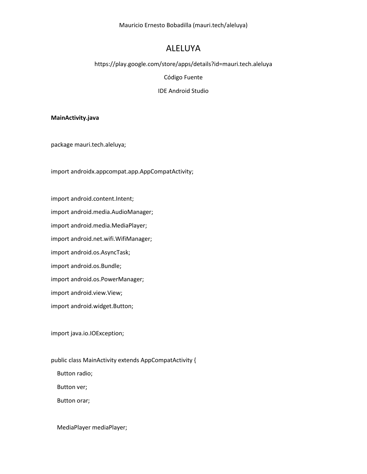# ALELUYA

https://play.google.com/store/apps/details?id=mauri.tech.aleluya

Código Fuente

IDE Android Studio

### **MainActivity.java**

package mauri.tech.aleluya;

import androidx.appcompat.app.AppCompatActivity;

import android.content.Intent;

import android.media.AudioManager;

import android.media.MediaPlayer;

import android.net.wifi.WifiManager;

import android.os.AsyncTask;

import android.os.Bundle;

import android.os.PowerManager;

import android.view.View;

import android.widget.Button;

import java.io.IOException;

public class MainActivity extends AppCompatActivity {

Button radio;

Button ver;

Button orar;

MediaPlayer mediaPlayer;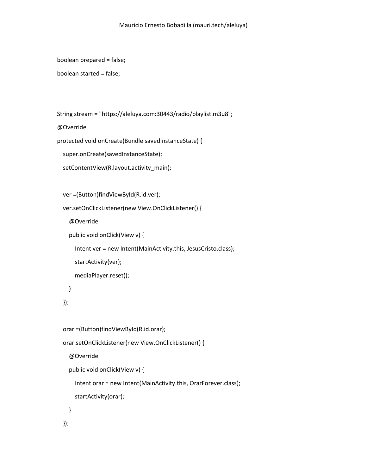```
 boolean prepared = false;
```

```
 boolean started = false;
```

```
 String stream = "https://aleluya.com:30443/radio/playlist.m3u8";
```
@Override

```
 protected void onCreate(Bundle savedInstanceState) {
```

```
 super.onCreate(savedInstanceState);
```

```
 setContentView(R.layout.activity_main);
```

```
 ver =(Button)findViewById(R.id.ver);
```

```
 ver.setOnClickListener(new View.OnClickListener() {
```

```
 @Override
```

```
 public void onClick(View v) {
```

```
 Intent ver = new Intent(MainActivity.this, JesusCristo.class);
```

```
 startActivity(ver);
```

```
 mediaPlayer.reset();
```

```
 }
```
});

```
 orar =(Button)findViewById(R.id.orar);
```

```
 orar.setOnClickListener(new View.OnClickListener() {
```

```
 @Override
```

```
 public void onClick(View v) {
```

```
 Intent orar = new Intent(MainActivity.this, OrarForever.class);
```

```
 startActivity(orar);
```

```
 }
 });
```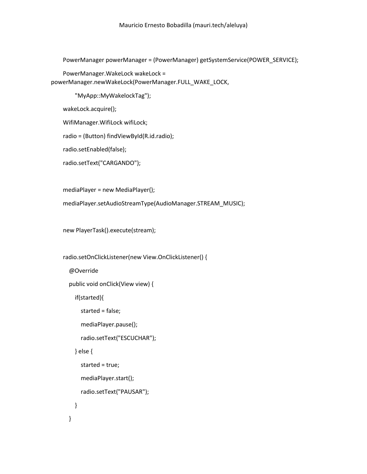PowerManager powerManager = (PowerManager) getSystemService(POWER\_SERVICE);

PowerManager.WakeLock wakeLock =

powerManager.newWakeLock(PowerManager.FULL\_WAKE\_LOCK,

"MyApp::MyWakelockTag");

wakeLock.acquire();

WifiManager.WifiLock wifiLock;

radio = (Button) findViewById(R.id.radio);

radio.setEnabled(false);

radio.setText("CARGANDO");

mediaPlayer = new MediaPlayer();

mediaPlayer.setAudioStreamType(AudioManager.STREAM\_MUSIC);

new PlayerTask().execute(stream);

radio.setOnClickListener(new View.OnClickListener() {

@Override

public void onClick(View view) {

if(started){

```
 started = false;
```
mediaPlayer.pause();

radio.setText("ESCUCHAR");

} else {

```
 started = true;
 mediaPlayer.start();
 radio.setText("PAUSAR");
```

```
 }
```
}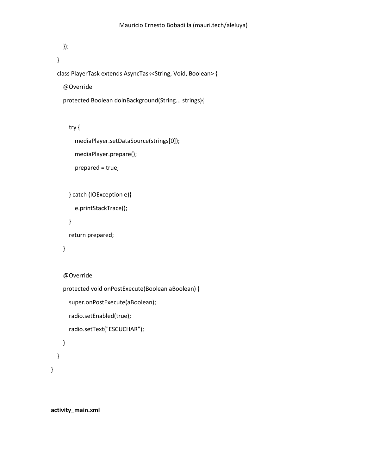```
 });
```

```
 }
```
class PlayerTask extends AsyncTask<String, Void, Boolean> {

@Override

```
 protected Boolean doInBackground(String... strings){
```
## try {

```
 mediaPlayer.setDataSource(strings[0]);
```

```
 mediaPlayer.prepare();
```
prepared = true;

```
 } catch (IOException e){
```
e.printStackTrace();

```
 }
```
return prepared;

```
 }
```

```
 @Override
```

```
 protected void onPostExecute(Boolean aBoolean) {
```

```
 super.onPostExecute(aBoolean);
```

```
 radio.setEnabled(true);
```

```
 radio.setText("ESCUCHAR");
```

```
 }
    }
}
```
**activity\_main.xml**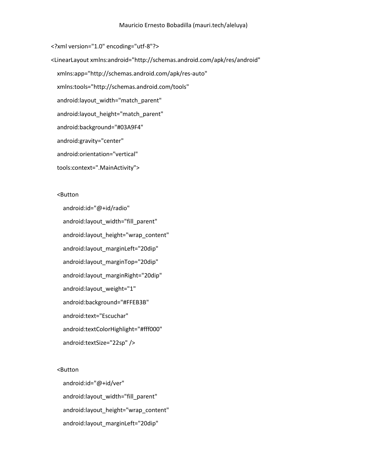<?xml version="1.0" encoding="utf-8"?> <LinearLayout xmlns:android="http://schemas.android.com/apk/res/android" xmlns:app="http://schemas.android.com/apk/res-auto" xmlns:tools="http://schemas.android.com/tools" android:layout width="match parent" android: layout height="match parent" android:background="#03A9F4" android:gravity="center" android:orientation="vertical" tools:context=".MainActivity">

### <Button

 android:id="@+id/radio" android:layout\_width="fill\_parent" android:layout\_height="wrap\_content" android:layout\_marginLeft="20dip" android:layout\_marginTop="20dip" android:layout\_marginRight="20dip" android:layout\_weight="1" android:background="#FFEB3B" android:text="Escuchar" android:textColorHighlight="#fff000" android:textSize="22sp" />

### <Button

 android:id="@+id/ver" android:layout\_width="fill\_parent" android:layout\_height="wrap\_content" android:layout\_marginLeft="20dip"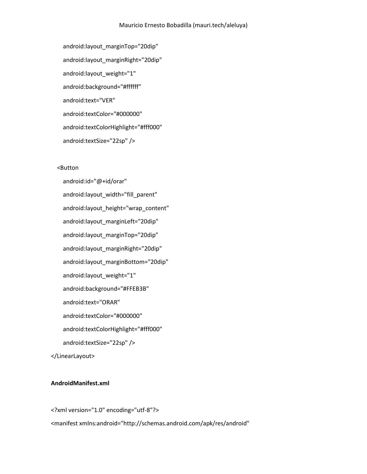android: layout\_marginTop="20dip" android:layout\_marginRight="20dip" android: layout weight="1" android:background="#ffffff" android:text="VER" android:textColor="#000000" android:textColorHighlight="#fff000" android:textSize="22sp" />

### <Button

 android:id="@+id/orar" android: layout width="fill\_parent" android:layout\_height="wrap\_content" android:layout\_marginLeft="20dip" android:layout\_marginTop="20dip" android:layout\_marginRight="20dip" android:layout\_marginBottom="20dip" android:layout\_weight="1" android:background="#FFEB3B" android:text="ORAR" android:textColor="#000000" android:textColorHighlight="#fff000" android:textSize="22sp" />

</LinearLayout>

## **AndroidManifest.xml**

<?xml version="1.0" encoding="utf-8"?> <manifest xmlns:android="http://schemas.android.com/apk/res/android"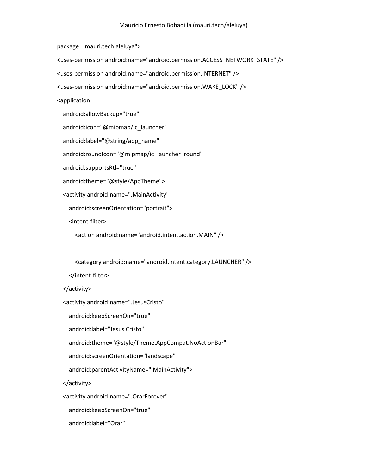package="mauri.tech.aleluya">

<uses-permission android:name="android.permission.ACCESS\_NETWORK\_STATE" />

<uses-permission android:name="android.permission.INTERNET" />

<uses-permission android:name="android.permission.WAKE\_LOCK" />

<application

android:allowBackup="true"

android:icon="@mipmap/ic\_launcher"

android:label="@string/app\_name"

android:roundIcon="@mipmap/ic\_launcher\_round"

android:supportsRtl="true"

android:theme="@style/AppTheme">

<activity android:name=".MainActivity"

android:screenOrientation="portrait">

<intent-filter>

<action android:name="android.intent.action.MAIN" />

<category android:name="android.intent.category.LAUNCHER" />

</intent-filter>

</activity>

<activity android:name=".JesusCristo"

android:keepScreenOn="true"

android:label="Jesus Cristo"

android:theme="@style/Theme.AppCompat.NoActionBar"

android:screenOrientation="landscape"

android:parentActivityName=".MainActivity">

</activity>

<activity android:name=".OrarForever"

android:keepScreenOn="true"

android:label="Orar"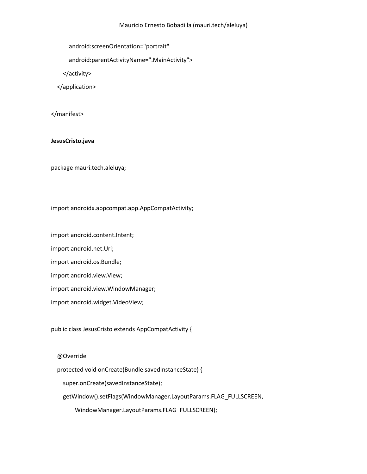android:screenOrientation="portrait"

android:parentActivityName=".MainActivity">

</activity>

</application>

</manifest>

### **JesusCristo.java**

package mauri.tech.aleluya;

import androidx.appcompat.app.AppCompatActivity;

import android.content.Intent;

import android.net.Uri;

import android.os.Bundle;

import android.view.View;

import android.view.WindowManager;

import android.widget.VideoView;

public class JesusCristo extends AppCompatActivity {

@Override

protected void onCreate(Bundle savedInstanceState) {

super.onCreate(savedInstanceState);

getWindow().setFlags(WindowManager.LayoutParams.FLAG\_FULLSCREEN,

WindowManager.LayoutParams.FLAG\_FULLSCREEN);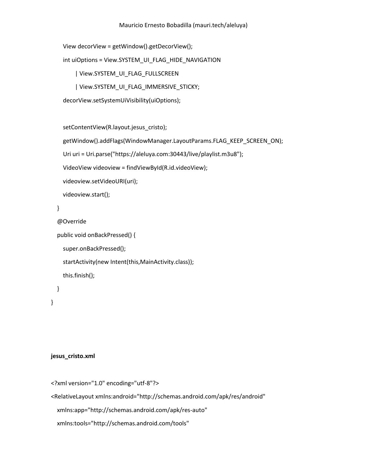```
 View decorView = getWindow().getDecorView();
```
int uiOptions = View.SYSTEM\_UI\_FLAG\_HIDE\_NAVIGATION

| View.SYSTEM\_UI\_FLAG\_FULLSCREEN

```
 | View.SYSTEM_UI_FLAG_IMMERSIVE_STICKY;
```
decorView.setSystemUiVisibility(uiOptions);

setContentView(R.layout.jesus\_cristo);

```
getWindow().addFlags(WindowManager.LayoutParams.FLAG_KEEP_SCREEN_ON);
```
Uri uri = Uri.parse("https://aleluya.com:30443/live/playlist.m3u8");

VideoView videoview = findViewById(R.id.videoView);

videoview.setVideoURI(uri);

```
 videoview.start();
```
# }

```
 @Override
```

```
 public void onBackPressed() {
```

```
 super.onBackPressed();
```

```
 startActivity(new Intent(this,MainActivity.class));
```

```
 this.finish();
```

```
 }
```

```
}
```
## **jesus\_cristo.xml**

```
<?xml version="1.0" encoding="utf-8"?>
```

```
<RelativeLayout xmlns:android="http://schemas.android.com/apk/res/android"
```

```
 xmlns:app="http://schemas.android.com/apk/res-auto"
```

```
 xmlns:tools="http://schemas.android.com/tools"
```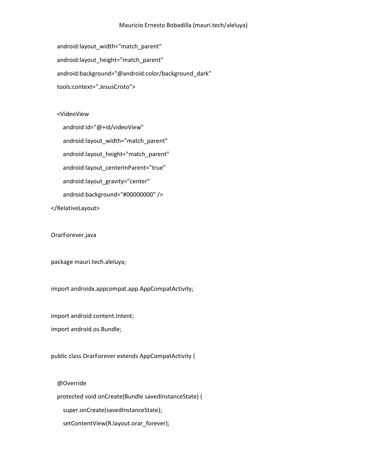android:layout width="match parent" android: layout height="match parent" android:background="@android:color/background\_dark" tools:context=".JesusCristo">

### <VideoView

 android:id="@+id/videoView" android:layout width="match parent" android:layout\_height="match\_parent" android:layout\_centerInParent="true" android:layout gravity="center" android:background="#00000000" /> </RelativeLayout>

OrarForever.java

package mauri.tech.aleluya;

import androidx.appcompat.app.AppCompatActivity;

import android.content.Intent;

import android.os.Bundle;

public class OrarForever extends AppCompatActivity {

@Override

protected void onCreate(Bundle savedInstanceState) {

super.onCreate(savedInstanceState);

setContentView(R.layout.orar\_forever);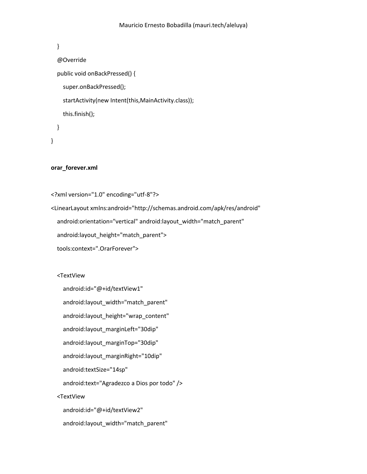```
 }
 @Override
 public void onBackPressed() {
   super.onBackPressed();
   startActivity(new Intent(this,MainActivity.class));
   this.finish();
 }
```

```
}
```
## **orar\_forever.xml**

```
<?xml version="1.0" encoding="utf-8"?>
```
<LinearLayout xmlns:android="http://schemas.android.com/apk/res/android" android:orientation="vertical" android:layout width="match\_parent" android:layout\_height="match\_parent">

```
 tools:context=".OrarForever">
```
<TextView

```
 android:id="@+id/textView1"
   android:layout_width="match_parent"
   android:layout_height="wrap_content"
   android:layout_marginLeft="30dip"
  android: layout_marginTop="30dip"
   android:layout_marginRight="10dip"
   android:textSize="14sp"
   android:text="Agradezco a Dios por todo" />
 <TextView
   android:id="@+id/textView2"
   android:layout_width="match_parent"
```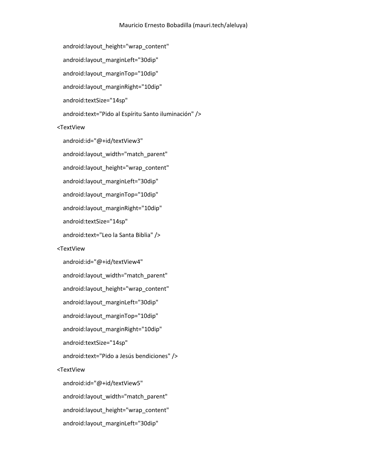```
android:layout height="wrap content"
  android:layout_marginLeft="30dip"
  android: layout_marginTop="10dip"
  android: layout margin Right="10dip"
   android:textSize="14sp"
   android:text="Pido al Espíritu Santo iluminación" />
 <TextView
   android:id="@+id/textView3"
  android:layout width="match parent"
   android:layout_height="wrap_content"
  android: layout marginLeft="30dip"
  android: layout_marginTop="10dip"
   android:layout_marginRight="10dip"
   android:textSize="14sp"
   android:text="Leo la Santa Biblia" />
 <TextView
   android:id="@+id/textView4"
  android:layout width="match parent"
  android:layout height="wrap content"
   android:layout_marginLeft="30dip"
  android: layout_marginTop="10dip"
   android:layout_marginRight="10dip"
   android:textSize="14sp"
   android:text="Pido a Jesús bendiciones" />
 <TextView
   android:id="@+id/textView5"
   android:layout_width="match_parent"
   android:layout_height="wrap_content"
   android:layout_marginLeft="30dip"
```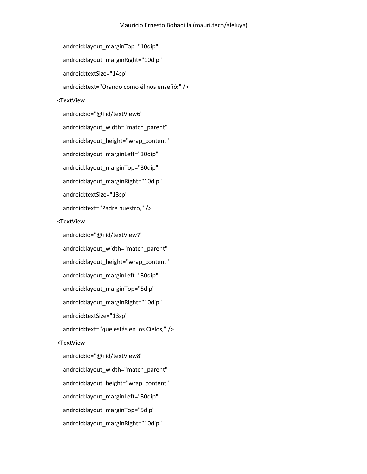```
android: layout_marginTop="10dip"
  android: layout margin Right="10dip"
   android:textSize="14sp"
   android:text="Orando como él nos enseñó:" />
 <TextView
   android:id="@+id/textView6"
  android:layout width="match parent"
  android:layout height="wrap content"
  android:layout_marginLeft="30dip"
   android:layout_marginTop="30dip"
  android: layout margin Right="10dip"
   android:textSize="13sp"
   android:text="Padre nuestro," />
 <TextView
   android:id="@+id/textView7"
  android:layout width="match parent"
  android:layout height="wrap content"
  android:layout_marginLeft="30dip"
  android: layout marginTop="5dip"
   android:layout_marginRight="10dip"
   android:textSize="13sp"
   android:text="que estás en los Cielos," />
 <TextView
   android:id="@+id/textView8"
  android:layout width="match parent"
   android:layout_height="wrap_content"
   android:layout_marginLeft="30dip"
   android:layout_marginTop="5dip"
```
android:layout\_marginRight="10dip"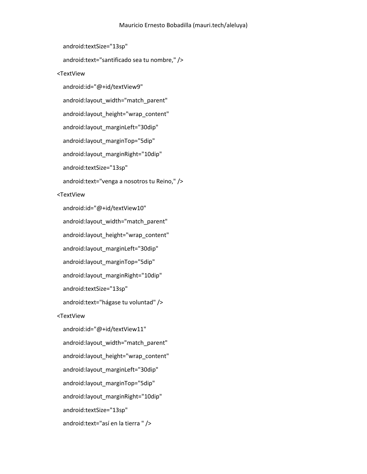```
 android:textSize="13sp"
   android:text="santificado sea tu nombre," />
 <TextView
   android:id="@+id/textView9"
  android:layout width="match parent"
  android:layout height="wrap content"
  android:layout_marginLeft="30dip"
  android:layout_marginTop="5dip"
  android: layout margin Right="10dip"
  android:textSize="13sp"
  android:text="venga a nosotros tu Reino," />
 <TextView
   android:id="@+id/textView10"
  android:layout width="match parent"
   android:layout_height="wrap_content"
  android:layout_marginLeft="30dip"
  android:layout_marginTop="5dip"
  android: layout margin Right="10dip"
   android:textSize="13sp"
   android:text="hágase tu voluntad" />
 <TextView
   android:id="@+id/textView11"
  android:layout_width="match_parent"
   android:layout_height="wrap_content"
  android:layout_marginLeft="30dip"
   android:layout_marginTop="5dip"
  android:layout_marginRight="10dip"
   android:textSize="13sp"
   android:text="así en la tierra " />
```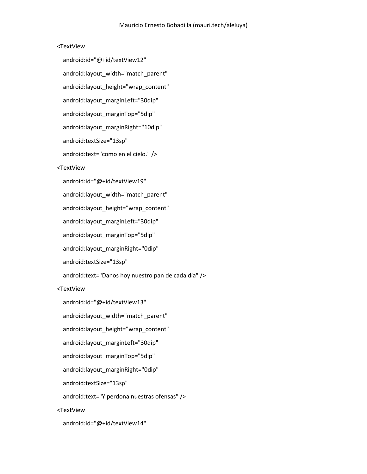## <TextView

 android:id="@+id/textView12" android:layout width="match parent" android:layout height="wrap content" android: layout marginLeft="30dip" android: layout marginTop="5dip" android: layout margin Right="10dip" android:textSize="13sp" android:text="como en el cielo." /> <TextView android:id="@+id/textView19" android:layout width="match parent" android:layout\_height="wrap\_content" android:layout\_marginLeft="30dip" android:layout\_marginTop="5dip" android:layout\_marginRight="0dip" android:textSize="13sp" android:text="Danos hoy nuestro pan de cada día" /> <TextView android:id="@+id/textView13" android:layout width="match parent" android:layout\_height="wrap\_content" android:layout\_marginLeft="30dip" android:layout\_marginTop="5dip" android: layout margin Right="0dip" android:textSize="13sp" android:text="Y perdona nuestras ofensas" /> <TextView

android:id="@+id/textView14"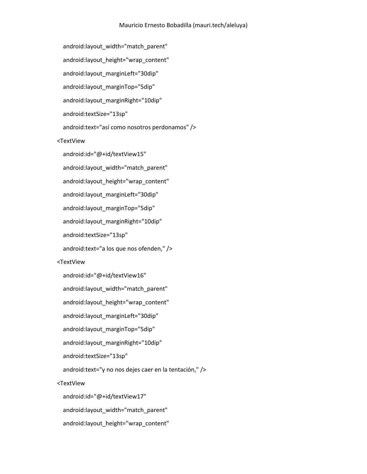android:layout width="match parent" android:layout height="wrap content" android: layout marginLeft="30dip" android: layout marginTop="5dip" android: layout margin Right="10dip" android:textSize="13sp" android:text="así como nosotros perdonamos" /> <TextView android:id="@+id/textView15" android:layout\_width="match\_parent" android:layout height="wrap content" android: layout marginLeft="30dip" android:layout\_marginTop="5dip" android: layout margin Right="10dip" android:textSize="13sp" android:text="a los que nos ofenden," /> <TextView android:id="@+id/textView16" android:layout width="match parent" android:layout\_height="wrap\_content" android: layout marginLeft="30dip" android:layout\_marginTop="5dip" android: layout margin Right="10dip" android:textSize="13sp" android:text="y no nos dejes caer en la tentación," /> <TextView android:id="@+id/textView17" android:layout\_width="match\_parent" android:layout\_height="wrap\_content"